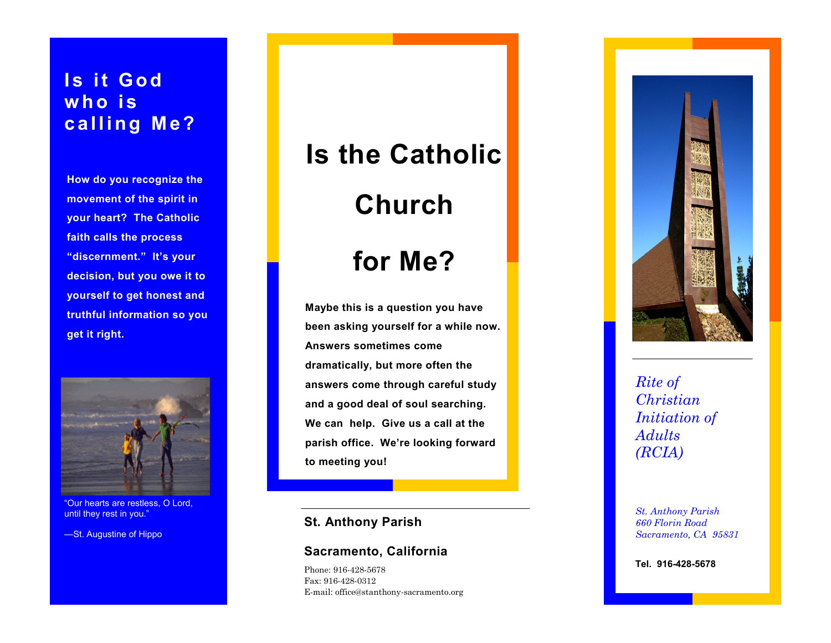# Is it God who is calling Me?

How do you recognize the movement of the spirit in your heart? The Catholic faith calls the process "discernment." It's your decision, but you owe it to yourself to get honest and truthful information so you get it right.



"Our hearts are restless, O Lord, until they rest in you."

—St. Augustine of Hippo

# Is the Catholic Church

for Me?

Maybe this is a question you have been asking yourself for a while now. Answers sometimes come dramatically, but more often the answers come through careful study and a good deal of soul searching. We can help. Give us a call at the parish office. We're looking forward to meeting you!

### St. Anthony Parish

## Sacramento, California

Phone: 916-428-5678 Fax: 916-428-0312 E -mail: office@stanthony -sacramento.org



*Rite of Christian Initiation of Adults (RCIA)*

*St. Anthony Parish 660 Florin Road Sacramento, CA 95831*

Tel. 916 -428 -5678